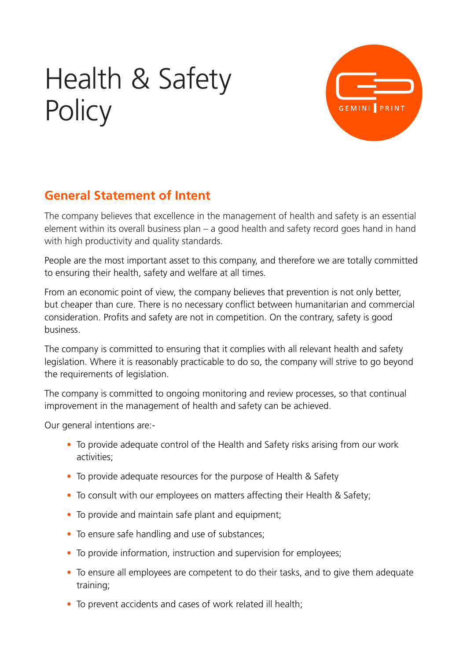# Health & Safety **Policy**



# **General Statement of Intent**

The company believes that excellence in the management of health and safety is an essential element within its overall business plan – a good health and safety record goes hand in hand with high productivity and quality standards.

People are the most important asset to this company, and therefore we are totally committed to ensuring their health, safety and welfare at all times.

From an economic point of view, the company believes that prevention is not only better, but cheaper than cure. There is no necessary conflict between humanitarian and commercial consideration. Profits and safety are not in competition. On the contrary, safety is good business.

The company is committed to ensuring that it complies with all relevant health and safety legislation. Where it is reasonably practicable to do so, the company will strive to go beyond the requirements of legislation.

The company is committed to ongoing monitoring and review processes, so that continual improvement in the management of health and safety can be achieved.

Our general intentions are:-

- To provide adequate control of the Health and Safety risks arising from our work activities;
- To provide adequate resources for the purpose of Health & Safety
- To consult with our employees on matters affecting their Health & Safety:
- To provide and maintain safe plant and equipment;
- To ensure safe handling and use of substances;
- To provide information, instruction and supervision for employees;
- To ensure all employees are competent to do their tasks, and to give them adequate training;
- To prevent accidents and cases of work related ill health;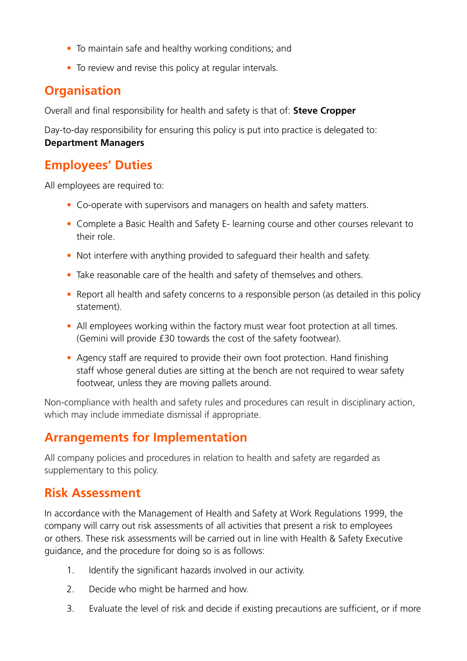- To maintain safe and healthy working conditions; and
- To review and revise this policy at regular intervals.

#### **Organisation**

Overall and final responsibility for health and safety is that of: **Steve Cropper**

Day-to-day responsibility for ensuring this policy is put into practice is delegated to: **Department Managers**

#### **Employees' Duties**

All employees are required to:

- Co-operate with supervisors and managers on health and safety matters.
- Complete a Basic Health and Safety E- learning course and other courses relevant to their role.
- Not interfere with anything provided to safeguard their health and safety.
- Take reasonable care of the health and safety of themselves and others.
- Report all health and safety concerns to a responsible person (as detailed in this policy statement).
- All employees working within the factory must wear foot protection at all times. (Gemini will provide £30 towards the cost of the safety footwear).
- Agency staff are required to provide their own foot protection. Hand finishing staff whose general duties are sitting at the bench are not required to wear safety footwear, unless they are moving pallets around.

Non-compliance with health and safety rules and procedures can result in disciplinary action, which may include immediate dismissal if appropriate.

#### **Arrangements for Implementation**

All company policies and procedures in relation to health and safety are regarded as supplementary to this policy.

#### **Risk Assessment**

In accordance with the Management of Health and Safety at Work Regulations 1999, the company will carry out risk assessments of all activities that present a risk to employees or others. These risk assessments will be carried out in line with Health & Safety Executive guidance, and the procedure for doing so is as follows:

- 1. Identify the significant hazards involved in our activity.
- 2. Decide who might be harmed and how.
- 3. Evaluate the level of risk and decide if existing precautions are sufficient, or if more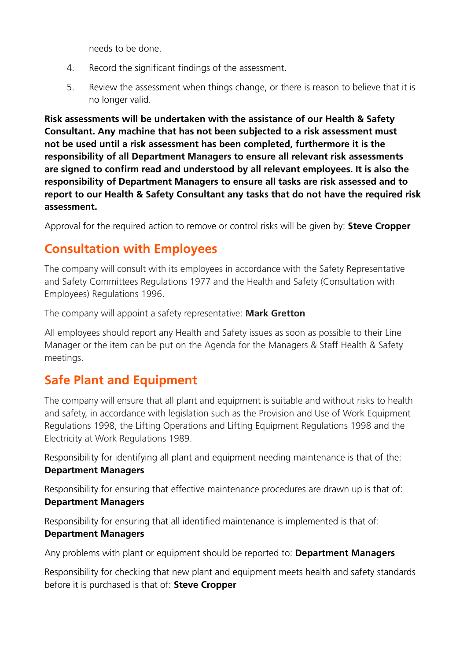needs to be done.

- 4. Record the significant findings of the assessment.
- 5. Review the assessment when things change, or there is reason to believe that it is no longer valid.

**Risk assessments will be undertaken with the assistance of our Health & Safety Consultant. Any machine that has not been subjected to a risk assessment must not be used until a risk assessment has been completed, furthermore it is the responsibility of all Department Managers to ensure all relevant risk assessments are signed to confirm read and understood by all relevant employees. It is also the responsibility of Department Managers to ensure all tasks are risk assessed and to report to our Health & Safety Consultant any tasks that do not have the required risk assessment.**

Approval for the required action to remove or control risks will be given by: **Steve Cropper**

#### **Consultation with Employees**

The company will consult with its employees in accordance with the Safety Representative and Safety Committees Regulations 1977 and the Health and Safety (Consultation with Employees) Regulations 1996.

The company will appoint a safety representative: **Mark Gretton**

All employees should report any Health and Safety issues as soon as possible to their Line Manager or the item can be put on the Agenda for the Managers & Staff Health & Safety meetings.

#### **Safe Plant and Equipment**

The company will ensure that all plant and equipment is suitable and without risks to health and safety, in accordance with legislation such as the Provision and Use of Work Equipment Regulations 1998, the Lifting Operations and Lifting Equipment Regulations 1998 and the Electricity at Work Regulations 1989.

Responsibility for identifying all plant and equipment needing maintenance is that of the: **Department Managers**

Responsibility for ensuring that effective maintenance procedures are drawn up is that of: **Department Managers**

Responsibility for ensuring that all identified maintenance is implemented is that of: **Department Managers**

Any problems with plant or equipment should be reported to: **Department Managers**

Responsibility for checking that new plant and equipment meets health and safety standards before it is purchased is that of: **Steve Cropper**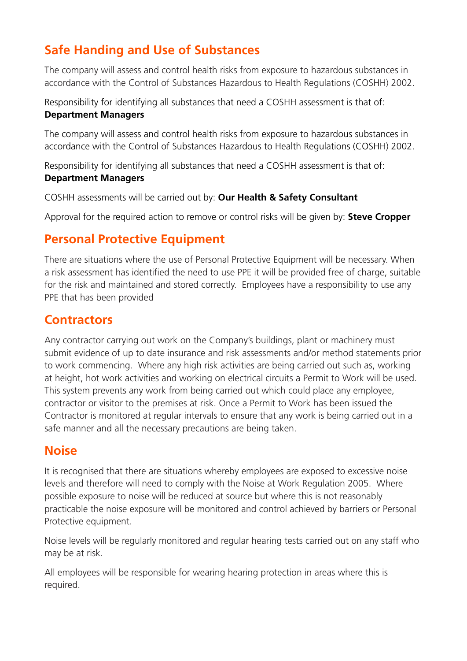# **Safe Handing and Use of Substances**

The company will assess and control health risks from exposure to hazardous substances in accordance with the Control of Substances Hazardous to Health Regulations (COSHH) 2002.

Responsibility for identifying all substances that need a COSHH assessment is that of: **Department Managers**

The company will assess and control health risks from exposure to hazardous substances in accordance with the Control of Substances Hazardous to Health Regulations (COSHH) 2002.

Responsibility for identifying all substances that need a COSHH assessment is that of: **Department Managers**

COSHH assessments will be carried out by: **Our Health & Safety Consultant**

Approval for the required action to remove or control risks will be given by: **Steve Cropper**

#### **Personal Protective Equipment**

There are situations where the use of Personal Protective Equipment will be necessary. When a risk assessment has identified the need to use PPE it will be provided free of charge, suitable for the risk and maintained and stored correctly. Employees have a responsibility to use any PPE that has been provided

#### **Contractors**

Any contractor carrying out work on the Company's buildings, plant or machinery must submit evidence of up to date insurance and risk assessments and/or method statements prior to work commencing. Where any high risk activities are being carried out such as, working at height, hot work activities and working on electrical circuits a Permit to Work will be used. This system prevents any work from being carried out which could place any employee, contractor or visitor to the premises at risk. Once a Permit to Work has been issued the Contractor is monitored at regular intervals to ensure that any work is being carried out in a safe manner and all the necessary precautions are being taken.

#### **Noise**

It is recognised that there are situations whereby employees are exposed to excessive noise levels and therefore will need to comply with the Noise at Work Regulation 2005. Where possible exposure to noise will be reduced at source but where this is not reasonably practicable the noise exposure will be monitored and control achieved by barriers or Personal Protective equipment.

Noise levels will be regularly monitored and regular hearing tests carried out on any staff who may be at risk.

All employees will be responsible for wearing hearing protection in areas where this is required.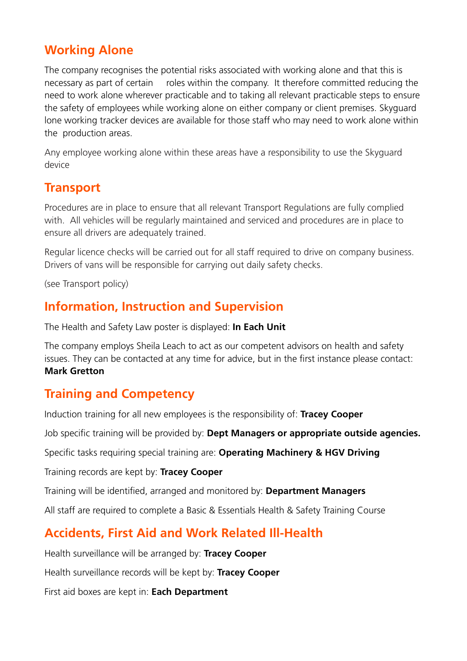#### **Working Alone**

The company recognises the potential risks associated with working alone and that this is necessary as part of certain roles within the company. It therefore committed reducing the need to work alone wherever practicable and to taking all relevant practicable steps to ensure the safety of employees while working alone on either company or client premises. Skyguard lone working tracker devices are available for those staff who may need to work alone within the production areas.

Any employee working alone within these areas have a responsibility to use the Skyguard device

#### **Transport**

Procedures are in place to ensure that all relevant Transport Regulations are fully complied with. All vehicles will be regularly maintained and serviced and procedures are in place to ensure all drivers are adequately trained.

Regular licence checks will be carried out for all staff required to drive on company business. Drivers of vans will be responsible for carrying out daily safety checks.

(see Transport policy)

#### **Information, Instruction and Supervision**

The Health and Safety Law poster is displayed: **In Each Unit**

The company employs Sheila Leach to act as our competent advisors on health and safety issues. They can be contacted at any time for advice, but in the first instance please contact: **Mark Gretton**

#### **Training and Competency**

Induction training for all new employees is the responsibility of: **Tracey Cooper**

Job specific training will be provided by: **Dept Managers or appropriate outside agencies.** 

Specific tasks requiring special training are: **Operating Machinery & HGV Driving**

Training records are kept by: **Tracey Cooper**

Training will be identified, arranged and monitored by: **Department Managers**

All staff are required to complete a Basic & Essentials Health & Safety Training Course

#### **Accidents, First Aid and Work Related Ill-Health**

Health surveillance will be arranged by: **Tracey Cooper**

Health surveillance records will be kept by: **Tracey Cooper**

First aid boxes are kept in: **Each Department**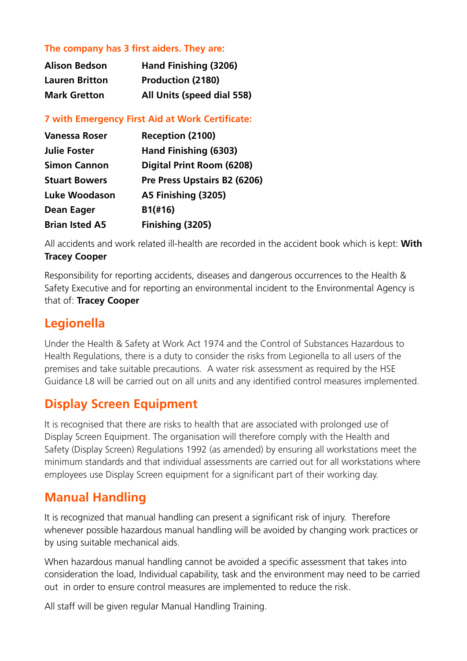#### **The company has 3 first aiders. They are:**

| <b>Alison Bedson</b>  | Hand Finishing (3206)      |
|-----------------------|----------------------------|
| <b>Lauren Britton</b> | <b>Production (2180)</b>   |
| <b>Mark Gretton</b>   | All Units (speed dial 558) |

**7 with Emergency First Aid at Work Certificate:**

| <b>Vanessa Roser</b>  | <b>Reception (2100)</b>      |
|-----------------------|------------------------------|
| <b>Julie Foster</b>   | Hand Finishing (6303)        |
| <b>Simon Cannon</b>   | Digital Print Room (6208)    |
| <b>Stuart Bowers</b>  | Pre Press Upstairs B2 (6206) |
| Luke Woodason         | A5 Finishing (3205)          |
| Dean Eager            | B1(H16)                      |
| <b>Brian Isted A5</b> | Finishing (3205)             |

All accidents and work related ill-health are recorded in the accident book which is kept: **With Tracey Cooper**

Responsibility for reporting accidents, diseases and dangerous occurrences to the Health & Safety Executive and for reporting an environmental incident to the Environmental Agency is that of: **Tracey Cooper**

#### **Legionella**

Under the Health & Safety at Work Act 1974 and the Control of Substances Hazardous to Health Regulations, there is a duty to consider the risks from Legionella to all users of the premises and take suitable precautions. A water risk assessment as required by the HSE Guidance L8 will be carried out on all units and any identified control measures implemented.

#### **Display Screen Equipment**

It is recognised that there are risks to health that are associated with prolonged use of Display Screen Equipment. The organisation will therefore comply with the Health and Safety (Display Screen) Regulations 1992 (as amended) by ensuring all workstations meet the minimum standards and that individual assessments are carried out for all workstations where employees use Display Screen equipment for a significant part of their working day.

#### **Manual Handling**

It is recognized that manual handling can present a significant risk of injury. Therefore whenever possible hazardous manual handling will be avoided by changing work practices or by using suitable mechanical aids.

When hazardous manual handling cannot be avoided a specific assessment that takes into consideration the load, Individual capability, task and the environment may need to be carried out in order to ensure control measures are implemented to reduce the risk.

All staff will be given regular Manual Handling Training.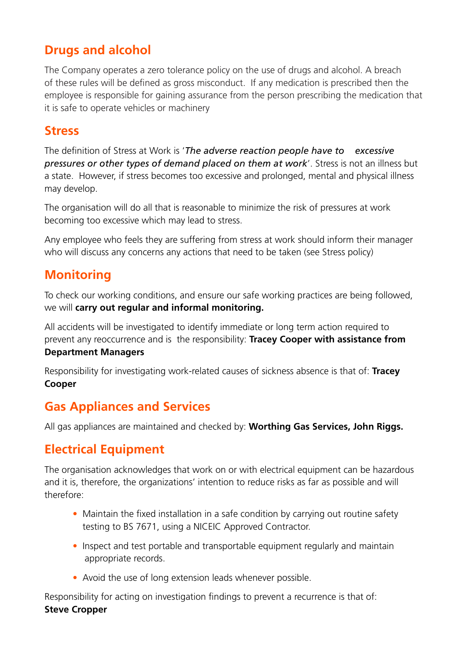#### **Drugs and alcohol**

The Company operates a zero tolerance policy on the use of drugs and alcohol. A breach of these rules will be defined as gross misconduct. If any medication is prescribed then the employee is responsible for gaining assurance from the person prescribing the medication that it is safe to operate vehicles or machinery

#### **Stress**

The definition of Stress at Work is '*The adverse reaction people have to excessive pressures or other types of demand placed on them at work*'. Stress is not an illness but a state. However, if stress becomes too excessive and prolonged, mental and physical illness may develop.

The organisation will do all that is reasonable to minimize the risk of pressures at work becoming too excessive which may lead to stress.

Any employee who feels they are suffering from stress at work should inform their manager who will discuss any concerns any actions that need to be taken (see Stress policy)

### **Monitoring**

To check our working conditions, and ensure our safe working practices are being followed, we will **carry out regular and informal monitoring.**

All accidents will be investigated to identify immediate or long term action required to prevent any reoccurrence and is the responsibility: **Tracey Cooper with assistance from** 

#### **Department Managers**

Responsibility for investigating work-related causes of sickness absence is that of: **Tracey Cooper**

#### **Gas Appliances and Services**

All gas appliances are maintained and checked by: **Worthing Gas Services, John Riggs.**

#### **Electrical Equipment**

The organisation acknowledges that work on or with electrical equipment can be hazardous and it is, therefore, the organizations' intention to reduce risks as far as possible and will therefore:

- Maintain the fixed installation in a safe condition by carrying out routine safety testing to BS 7671, using a NICEIC Approved Contractor.
- Inspect and test portable and transportable equipment regularly and maintain appropriate records.
- Avoid the use of long extension leads whenever possible.

Responsibility for acting on investigation findings to prevent a recurrence is that of: **Steve Cropper**